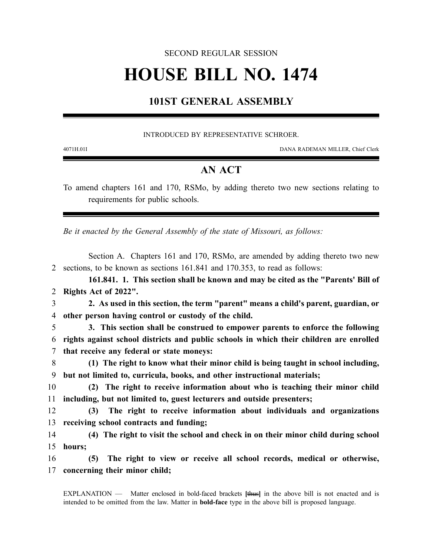#### SECOND REGULAR SESSION

# **HOUSE BILL NO. 1474**

## **101ST GENERAL ASSEMBLY**

#### INTRODUCED BY REPRESENTATIVE SCHROER.

4071H.01I DANA RADEMAN MILLER, Chief Clerk

### **AN ACT**

To amend chapters 161 and 170, RSMo, by adding thereto two new sections relating to requirements for public schools.

*Be it enacted by the General Assembly of the state of Missouri, as follows:*

Section A. Chapters 161 and 170, RSMo, are amended by adding thereto two new 2 sections, to be known as sections 161.841 and 170.353, to read as follows:

**161.841. 1. This section shall be known and may be cited as the "Parents' Bill of** 2 **Rights Act of 2022".**

3 **2. As used in this section, the term "parent" means a child's parent, guardian, or** 4 **other person having control or custody of the child.**

5 **3. This section shall be construed to empower parents to enforce the following** 6 **rights against school districts and public schools in which their children are enrolled** 7 **that receive any federal or state moneys:**

8 **(1) The right to know what their minor child is being taught in school including,** 9 **but not limited to, curricula, books, and other instructional materials;**

10 **(2) The right to receive information about who is teaching their minor child** 11 **including, but not limited to, guest lecturers and outside presenters;**

12 **(3) The right to receive information about individuals and organizations** 13 **receiving school contracts and funding;**

14 **(4) The right to visit the school and check in on their minor child during school** 15 **hours;**

16 **(5) The right to view or receive all school records, medical or otherwise,** 17 **concerning their minor child;**

EXPLANATION — Matter enclosed in bold-faced brackets **[**thus**]** in the above bill is not enacted and is intended to be omitted from the law. Matter in **bold-face** type in the above bill is proposed language.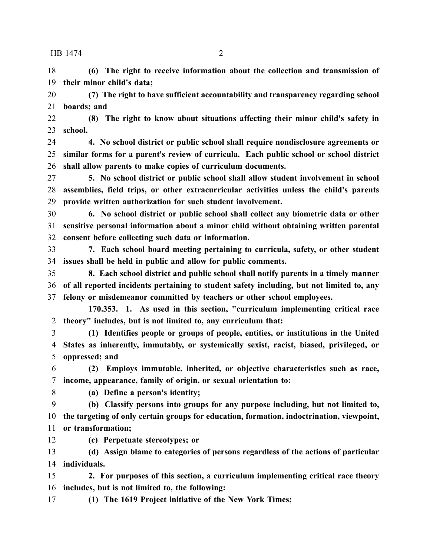#### HB 1474 2

 **(6) The right to receive information about the collection and transmission of their minor child's data;**

 **(7) The right to have sufficient accountability and transparency regarding school boards; and**

 **(8) The right to know about situations affecting their minor child's safety in school.**

 **4. No school district or public school shall require nondisclosure agreements or similar forms for a parent's review of curricula. Each public school or school district shall allow parents to make copies of curriculum documents.**

 **5. No school district or public school shall allow student involvement in school assemblies, field trips, or other extracurricular activities unless the child's parents provide written authorization for such student involvement.**

 **6. No school district or public school shall collect any biometric data or other sensitive personal information about a minor child without obtaining written parental consent before collecting such data or information.**

 **7. Each school board meeting pertaining to curricula, safety, or other student issues shall be held in public and allow for public comments.**

 **8. Each school district and public school shall notify parents in a timely manner of all reported incidents pertaining to student safety including, but not limited to, any felony or misdemeanor committed by teachers or other school employees.**

**170.353. 1. As used in this section, "curriculum implementing critical race theory" includes, but is not limited to, any curriculum that:**

 **(1) Identifies people or groups of people, entities, or institutions in the United States as inherently, immutably, or systemically sexist, racist, biased, privileged, or oppressed; and**

 **(2) Employs immutable, inherited, or objective characteristics such as race, income, appearance, family of origin, or sexual orientation to:**

**(a) Define a person's identity;**

 **(b) Classify persons into groups for any purpose including, but not limited to, the targeting of only certain groups for education, formation, indoctrination, viewpoint, or transformation;**

**(c) Perpetuate stereotypes; or**

 **(d) Assign blame to categories of persons regardless of the actions of particular individuals.**

 **2. For purposes of this section, a curriculum implementing critical race theory includes, but is not limited to, the following:**

**(1) The 1619 Project initiative of the New York Times;**